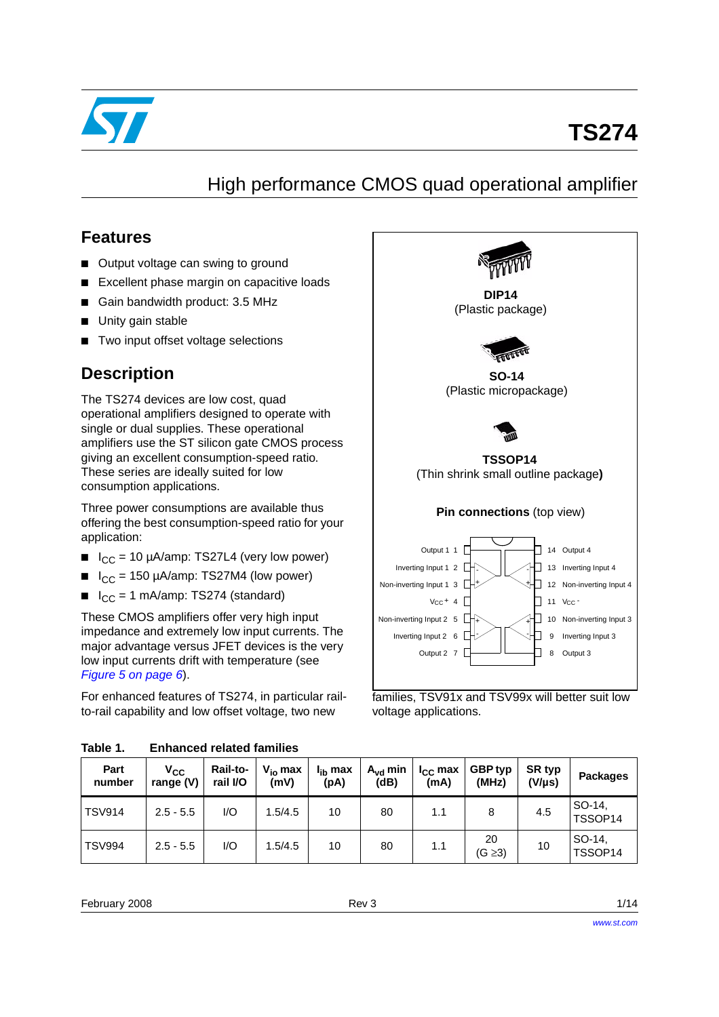

# **TS274**

## High performance CMOS quad operational amplifier

### **Features**

- Output voltage can swing to ground
- Excellent phase margin on capacitive loads
- Gain bandwidth product: 3.5 MHz
- Unity gain stable
- Two input offset voltage selections

### **Description**

The TS274 devices are low cost, quad operational amplifiers designed to operate with single or dual supplies. These operational amplifiers use the ST silicon gate CMOS process giving an excellent consumption-speed ratio. These series are ideally suited for low consumption applications.

Three power consumptions are available thus offering the best consumption-speed ratio for your application:

- $\blacksquare$  I<sub>CC</sub> = 10 µA/amp: TS27L4 (very low power)
- $I_{\rm CC}$  = 150 µA/amp: TS27M4 (low power)
- $I_{CC} = 1$  mA/amp: TS274 (standard)

These CMOS amplifiers offer very high input impedance and extremely low input currents. The major advantage versus JFET devices is the very low input currents drift with temperature (see *[Figure 5 on page 6](#page-5-0)*).

For enhanced features of TS274, in particular railto-rail capability and low offset voltage, two new



voltage applications.

| Table 1. | <b>Enhanced related families</b> |  |  |
|----------|----------------------------------|--|--|
|----------|----------------------------------|--|--|

| Part<br>number | $V_{CC}$<br>range (V) | Rail-to-<br>rail I/O | $V_{io}$ max<br>(mV) | I <sub>ih</sub> max<br>(pA) | $A_{vd}$ min<br>(dB) | $I_{CC}$ max<br>(mA) | GBP typ<br>(MHz)   | SR typ<br>$(V/\mu s)$ | <b>Packages</b>   |
|----------------|-----------------------|----------------------|----------------------|-----------------------------|----------------------|----------------------|--------------------|-----------------------|-------------------|
| <b>TSV914</b>  | $2.5 - 5.5$           | I/O                  | 1.5/4.5              | 10                          | 80                   | 1.1                  | 8                  | 4.5                   | SO-14.<br>TSSOP14 |
| <b>TSV994</b>  | $2.5 - 5.5$           | I/O                  | 1.5/4.5              | 10                          | 80                   | 1.1                  | 20<br>$(G \geq 3)$ | 10                    | SO-14.<br>TSSOP14 |

February 2008 **Rev 3** 1/14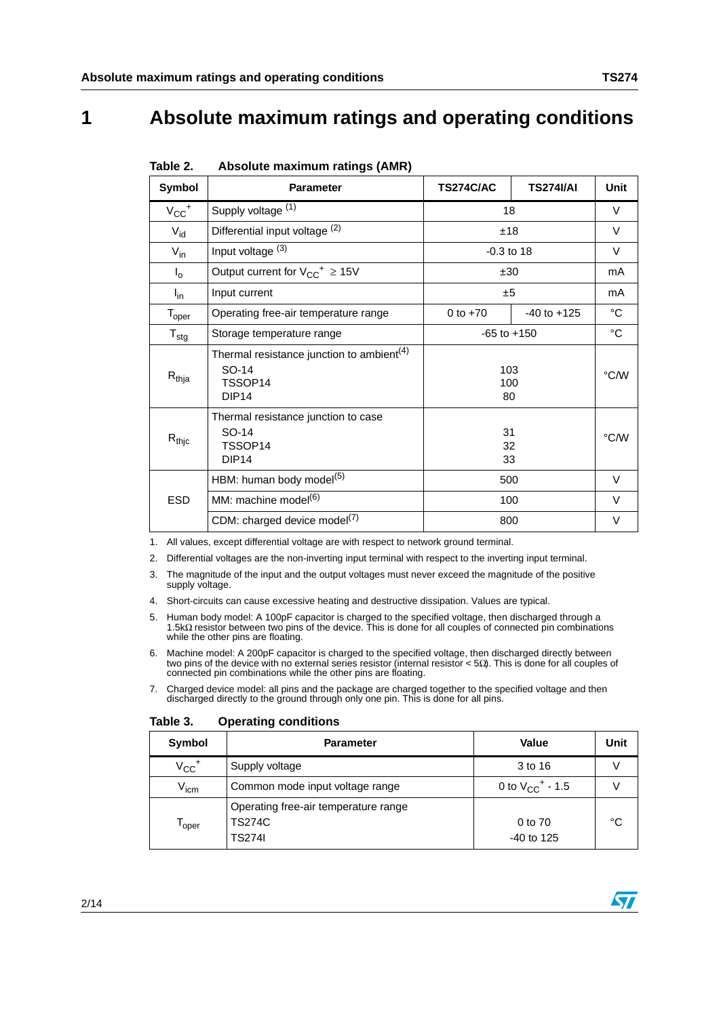## **1 Absolute maximum ratings and operating conditions**

|                           | ADOUNIC MAAMMAM TAMIYO (AMIY)                                                                  |                  |                  |              |
|---------------------------|------------------------------------------------------------------------------------------------|------------------|------------------|--------------|
| Symbol                    | <b>Parameter</b>                                                                               | <b>TS274C/AC</b> | <b>TS274I/AI</b> | <b>Unit</b>  |
| $V_{CC}$ <sup>+</sup>     | Supply voltage (1)                                                                             | 18               |                  | V            |
| $V_{id}$                  | Differential input voltage (2)                                                                 | ±18              |                  | $\vee$       |
| $V_{in}$                  | Input voltage (3)                                                                              | $-0.3$ to 18     |                  | $\vee$       |
| $\mathsf{I}_{\mathsf{0}}$ | Output current for $V_{CC}^{\dagger} \geq 15V$                                                 | ±30              |                  | mA           |
| $I_{\text{in}}$           | Input current                                                                                  | ±5               |                  | mA           |
| $T_{\sf oper}$            | Operating free-air temperature range                                                           | 0 to $+70$       | $-40$ to $+125$  | $^{\circ}$ C |
| $T_{\text{stg}}$          | Storage temperature range                                                                      | $-65$ to $+150$  |                  | $^{\circ}C$  |
| $R_{thja}$                | Thermal resistance junction to ambient <sup>(4)</sup><br>SO-14<br>TSSOP14<br>DIP <sub>14</sub> | 103<br>100<br>80 |                  | °C/W         |
| $R_{\mathsf{thjc}}$       | Thermal resistance junction to case<br>SO-14<br>TSSOP14<br>DIP <sub>14</sub>                   | 31<br>32<br>33   |                  | °C/W         |
|                           | HBM: human body model <sup>(5)</sup>                                                           | 500              |                  | $\vee$       |
| <b>ESD</b>                | MM: machine model <sup>(6)</sup>                                                               | 100              |                  | $\vee$       |
|                           | CDM: charged device model <sup>(7)</sup>                                                       | 800              |                  | V            |

<span id="page-1-0"></span>Table 2 **Table 2. Absolute maximum ratings (AMR)**

1. All values, except differential voltage are with respect to network ground terminal.

- 2. Differential voltages are the non-inverting input terminal with respect to the inverting input terminal.
- 3. The magnitude of the input and the output voltages must never exceed the magnitude of the positive supply voltage.
- 4. Short-circuits can cause excessive heating and destructive dissipation. Values are typical.
- 5. Human body model: A 100pF capacitor is charged to the specified voltage, then discharged through a 1.5kΩ resistor between two pins of the device. This is done for all couples of connected pin combinations while the other pins are floating.
- 6. Machine model: A 200pF capacitor is charged to the specified voltage, then discharged directly between two pins of the device with no external series resistor (internal resistor < 5Ω). This is done for all couples of connected pin combinations while the other pins are floating.
- 7. Charged device model: all pins and the package are charged together to the specified voltage and then discharged directly to the ground through only one pin. This is done for all pins.

| Symbol                | <b>Parameter</b>                                                       | <b>Value</b>                     | Unit |
|-----------------------|------------------------------------------------------------------------|----------------------------------|------|
| $V_{CC}$ <sup>+</sup> | Supply voltage                                                         | 3 to 16                          |      |
| V <sub>icm</sub>      | Common mode input voltage range                                        | 0 to $V_{CC}$ <sup>+</sup> - 1.5 |      |
| l oper                | Operating free-air temperature range<br><b>TS274C</b><br><b>TS274I</b> | 0 to 70<br>$-40$ to 125          | °C   |

Table 3. **Operating conditions** 



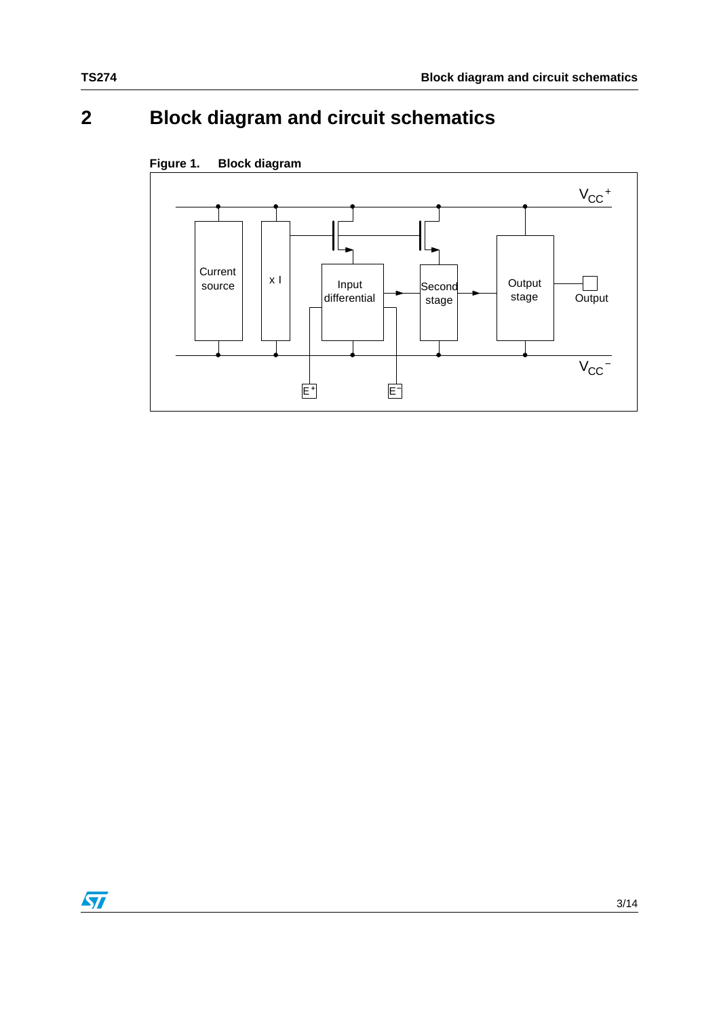## **2 Block diagram and circuit schematics**



#### **Figure 1. Block diagram**

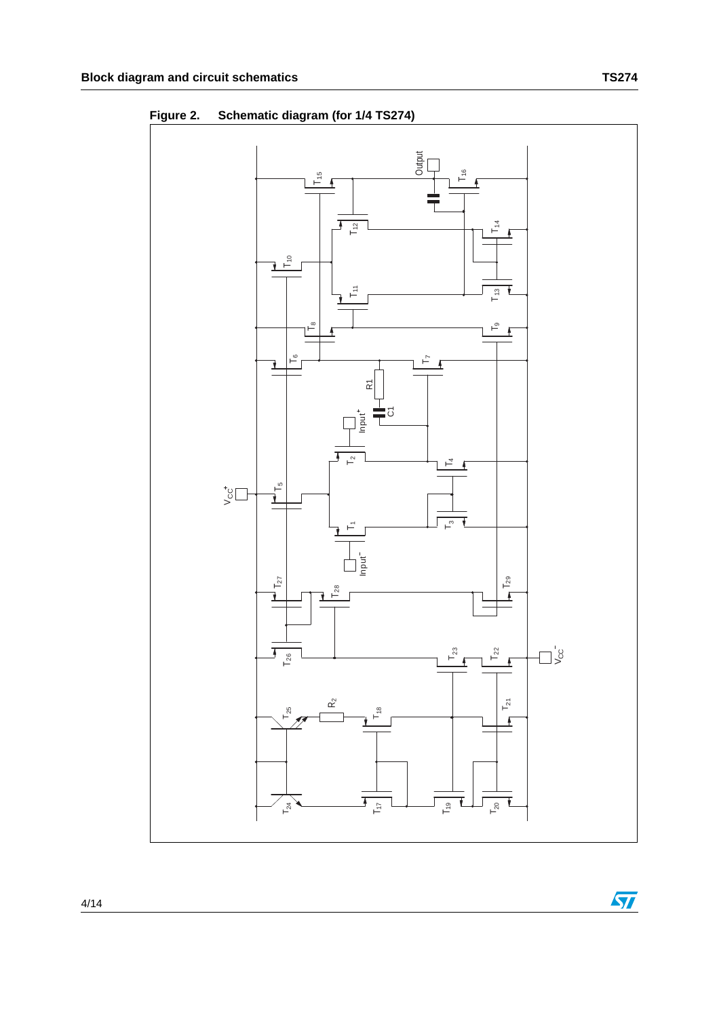**Output** T16  $T_{15}$  $\sqrt{ }$ Á Ŧ  $T_{12}$  $T_9$   $T_{13}$   $1_{14}$  $T_{11}$   $T_{12}$  $\approx$ ₹  $\frac{1}{2}$  $\circ$ ⊢ຶ ے ۲Ļ ı R1  $\overline{6}$  $\frac{1}{2}$ T  $\overline{T_2}$  $\frac{1}{L_4}$  $T_3 \begin{array}{|c|c|c|} \hline \text{I}_4 \end{array}$  T<sub>4</sub>  $\frac{1}{\sqrt{2}}$  $\bigcup\limits_{\substack{c\in\mathbb{C}^+}}$  $\overline{\phantom{0}1}$  $\overline{\phantom{0}}$ Input  $T_{27}$  $T_{29}$  $\mathsf{L}^{\tt{ss}}$ ı  $\overline{1}$ - V  $\Box$  $\overline{1}$  $\mathsf{L}_{23}$  $\Gamma_{22}$  $T_{26}$  $\sqrt{2}$  $T_{21}$  $\mathbf{\hat{\alpha}}$ 25  $T_{17}$  |  $\longmapsto$   $\longmapsto$  |  $T_{18}$  $\overline{1}$  $\vdash$  $\vdash$  $\overline{1}$  $T_{17}$  $T_{19}$ ī  $T_{20}$ ī  $\mathsf{L}_{24}$ 

**Figure 2. Schematic diagram (for 1/4 TS274)**

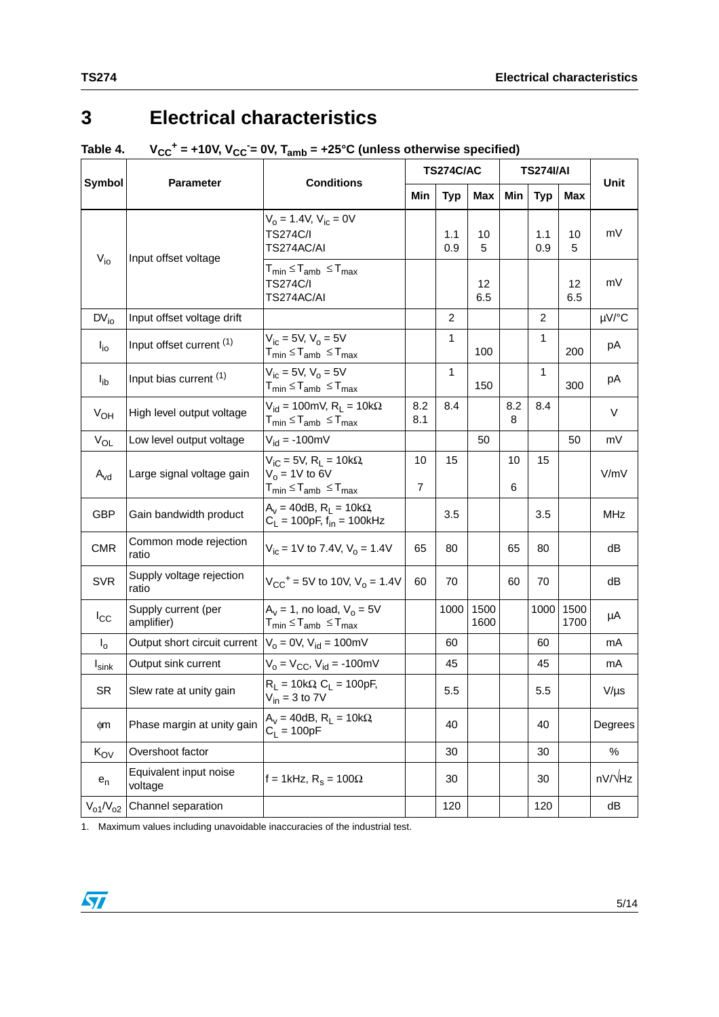## **3 Electrical characteristics**

#### Table 4. V<sub>CC</sub><sup>+</sup> = +10V, V<sub>CC</sub><sup>-</sup>= 0V, T<sub>amb</sub> = +25°C (unless otherwise specified)

| <b>Symbol</b>     | <b>Parameter</b>                  | <b>Conditions</b>                                                                                                                             |                      | <b>TS274C/AC</b> |              |          | <b>TS274I/AI</b> | Unit         |            |  |
|-------------------|-----------------------------------|-----------------------------------------------------------------------------------------------------------------------------------------------|----------------------|------------------|--------------|----------|------------------|--------------|------------|--|
|                   |                                   |                                                                                                                                               | Min                  | <b>Typ</b>       | Max          | Min      | <b>Typ</b>       | <b>Max</b>   |            |  |
| $V_{i0}$          | Input offset voltage              | $V_0 = 1.4 V$ , $V_{ic} = 0V$<br><b>TS274C/I</b><br>TS274AC/AI                                                                                |                      | 1.1<br>0.9       | 10<br>5      |          | 1.1<br>0.9       | 10<br>5      | mV         |  |
|                   |                                   | ${\sf T}_{\sf min}$ $\leq$ ${\sf T}_{\sf amb}$ $\leq$ ${\sf T}_{\sf max}$<br>TS274C/I<br>TS274AC/AI                                           |                      |                  | 12<br>6.5    |          |                  | 12<br>6.5    | mV         |  |
| $DV_{io}$         | Input offset voltage drift        |                                                                                                                                               |                      | $\overline{2}$   |              |          | $\overline{2}$   |              | µV/°C      |  |
| $I_{\text{io}}$   | Input offset current (1)          | $V_{ic} = 5V$ , $V_0 = 5V$<br>${\sf T}_{\sf min}$ $\leq$ ${\sf T}_{\sf amb}$ $\leq$ ${\sf T}_{\sf max}$                                       |                      | 1                | 100          |          | 1                | 200          | pA         |  |
| $I_{ib}$          | Input bias current (1)            | $V_{ic} = 5V$ , $V_0 = 5V$<br>${\sf T}_{\sf min}$ $\leq$ ${\sf T}_{\sf amb}$ $\leq$ ${\sf T}_{\sf max}$                                       |                      | 1                | 150          |          | 1                | 300          | pA         |  |
| $V_{OH}$          | High level output voltage         | $V_{\text{id}} = 100 \text{mV}, R_{\text{L}} = 10 \text{k}\Omega$<br>$T_{min} \leq T_{amb} \leq T_{max}$                                      | 8.2<br>8.1           | 8.4              |              | 8.2<br>8 | 8.4              |              | $\vee$     |  |
| $V_{OL}$          | Low level output voltage          | $V_{id} = -100 \text{mV}$                                                                                                                     |                      |                  | 50           |          |                  | 50           | mV         |  |
| $A_{vd}$          | Large signal voltage gain         | $V_{iC}$ = 5V, R <sub>L</sub> = 10k $\Omega$<br>$V_0$ = 1V to 6V<br>${\sf T}_{\sf min}$ $\leq$ ${\sf T}_{\sf amb}$ $\leq$ ${\sf T}_{\sf max}$ | 10<br>$\overline{7}$ | 15               |              | 10<br>6  | 15               |              | V/mV       |  |
| <b>GBP</b>        | Gain bandwidth product            | $A_v = 40dB$ , $R_l = 10k\Omega$ ,<br>$C_L$ = 100pF, $f_{in}$ = 100kHz                                                                        |                      | 3.5              |              |          | 3.5              |              | <b>MHz</b> |  |
| <b>CMR</b>        | Common mode rejection<br>ratio    | $V_{ic}$ = 1V to 7.4V, $V_o$ = 1.4V                                                                                                           | 65                   | 80               |              | 65       | 80               |              | dB         |  |
| <b>SVR</b>        | Supply voltage rejection<br>ratio | $V_{CC}$ <sup>+</sup> = 5V to 10V, V <sub>o</sub> = 1.4V                                                                                      | 60                   | 70               |              | 60       | 70               |              | dB         |  |
| $I_{\rm CC}$      | Supply current (per<br>amplifier) | $A_v = 1$ , no load, $V_o = 5V$<br>$T_{min} \leq T_{amb} \leq T_{max}$                                                                        |                      | 1000             | 1500<br>1600 |          | 1000             | 1500<br>1700 | μA         |  |
| I <sub>o</sub>    | Output short circuit current      | $V_0 = 0V$ , $V_{id} = 100mV$                                                                                                                 |                      | 60               |              |          | 60               |              | mA         |  |
| $I_{\text{sink}}$ | Output sink current               | $V_0 = V_{CC}$ , $V_{id} = -100$ mV                                                                                                           |                      | 45               |              |          | 45               |              | mA         |  |
| <b>SR</b>         | Slew rate at unity gain           | $R_L = 10k\Omega$ , $C_L = 100pF$ ,<br>$V_{in}$ = 3 to 7V                                                                                     |                      | 5.5              |              |          | 5.5              |              | $V/\mu s$  |  |
| фm                | Phase margin at unity gain        | $A_v = 40dB$ , $R_l = 10k\Omega$<br>$C_L = 100pF$                                                                                             |                      | 40               |              |          | 40               |              | Degrees    |  |
| $K_{\text{OV}}$   | Overshoot factor                  |                                                                                                                                               |                      | 30               |              |          | 30               |              | $\%$       |  |
| $e_n$             | Equivalent input noise<br>voltage | f = 1kHz, $R_s$ = 100 $\Omega$                                                                                                                |                      | 30               |              |          | 30               |              | nV/VHz     |  |
| $V_{o1}/V_{o2}$   | Channel separation                |                                                                                                                                               |                      | 120              |              |          | 120              |              | dB         |  |

1. Maximum values including unavoidable inaccuracies of the industrial test.

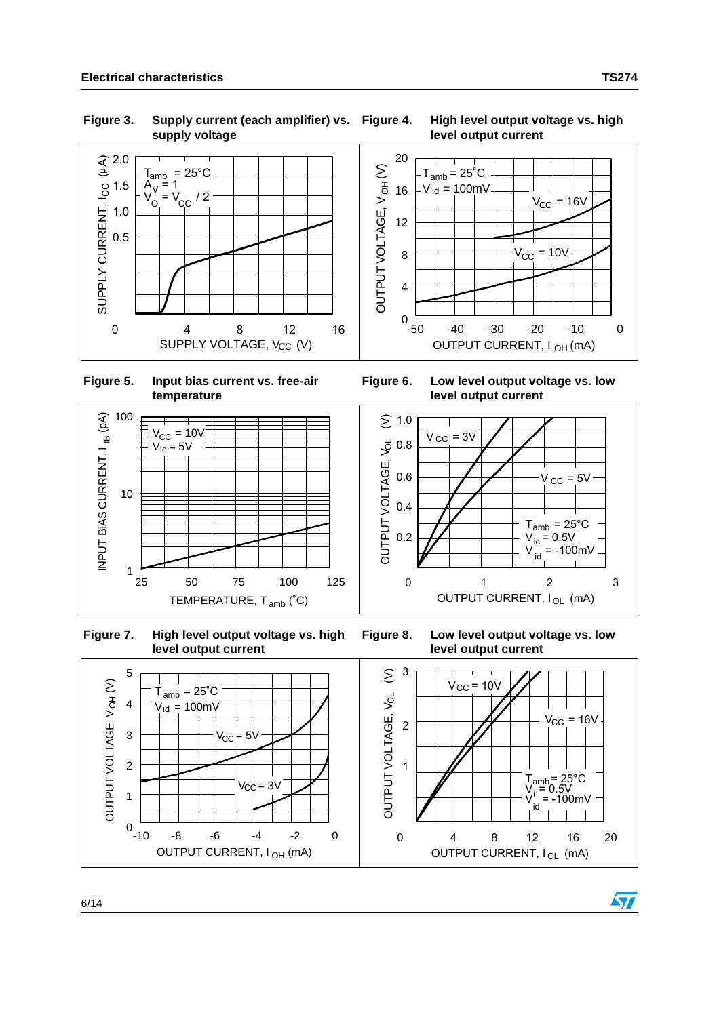**Figure 3. Supply current (each amplifier) vs. supply voltage**



 $V_{\rm CC} = 16V$ 

 $V_{\rm CC}$  = 10V



<span id="page-5-0"></span> **Figure 5. Input bias current vs. free-air temperature**



 **Figure 7. High level output voltage vs. high level output current**

**Figure 6. Low level output voltage vs. low level output current**



**Figure 8. Low level output voltage vs. low level output current**



ST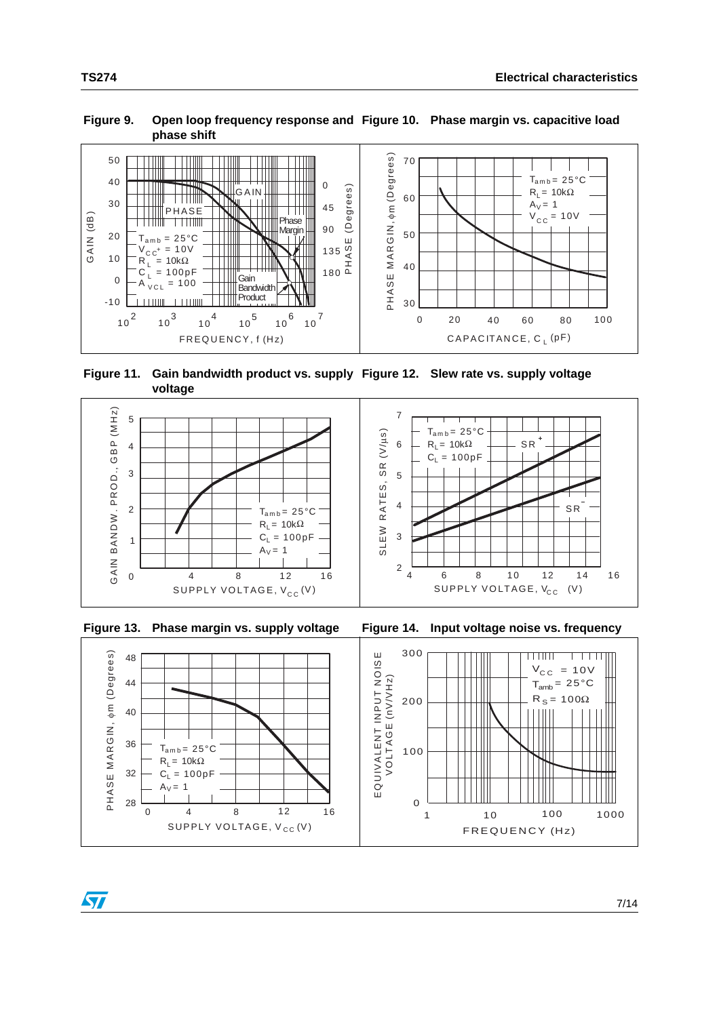#### Figure 9. Open loop frequency response and Figure 10. Phase margin vs. capacitive load **phase shift**



 **Figure 11. Gain bandwidth product vs. supply Figure 12. Slew rate vs. supply voltage voltage**





ST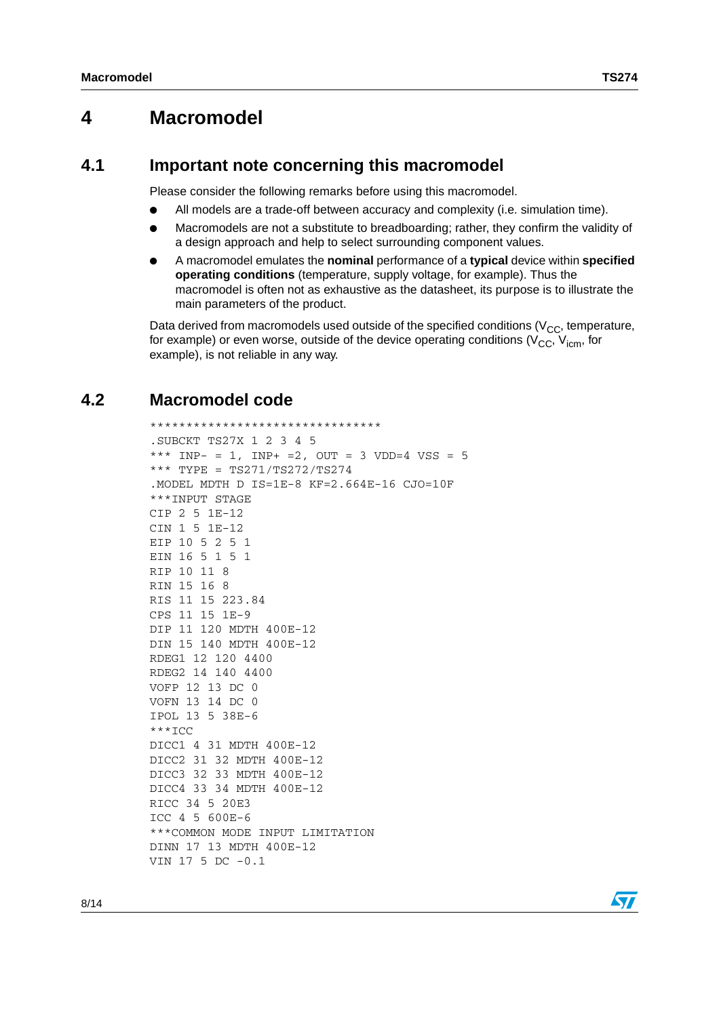### <span id="page-7-0"></span>**4 Macromodel**

#### **4.1 Important note concerning this macromodel**

Please consider the following remarks before using this macromodel.

- All models are a trade-off between accuracy and complexity (i.e. simulation time).
- Macromodels are not a substitute to breadboarding; rather, they confirm the validity of a design approach and help to select surrounding component values.
- A macromodel emulates the **nominal** performance of a **typical** device within **specified operating conditions** (temperature, supply voltage, for example). Thus the macromodel is often not as exhaustive as the datasheet, its purpose is to illustrate the main parameters of the product.

Data derived from macromodels used outside of the specified conditions ( $V_{CC}$ , temperature, for example) or even worse, outside of the device operating conditions ( $V_{CC}$ ,  $V_{icm}$ , for example), is not reliable in any way.

#### **4.2 Macromodel code**

```
********************************
.SUBCKT TS27X 1 2 3 4 5 
*** IMP- = 1, IMP+ =2, OUT = 3 VDD=4 VSS = 5*** TYPE = TS271/TS272/TS274
.MODEL MDTH D IS=1E-8 KF=2.664E-16 CJO=10F
***INPUT STAGE
CIP 2 5 1E-12
CIN 1 5 1E-12
EIP 10 5 2 5 1
EIN 16 5 1 5 1
RIP 10 11 8
RIN 15 16 8
RIS 11 15 223.84
CPS 11 15 1E-9
DIP 11 120 MDTH 400E-12
DIN 15 140 MDTH 400E-12
RDEG1 12 120 4400
RDEG2 14 140 4400
VOFP 12 13 DC 0
VOFN 13 14 DC 0
IPOL 13 5 38E-6
***ICC
DICC1 4 31 MDTH 400E-12
DICC2 31 32 MDTH 400E-12
DICC3 32 33 MDTH 400E-12
DICC4 33 34 MDTH 400E-12
RICC 34 5 20E3
ICC 4 5 600E-6
***COMMON MODE INPUT LIMITATION
DINN 17 13 MDTH 400E-12
VIN 17 5 DC -0.1
```
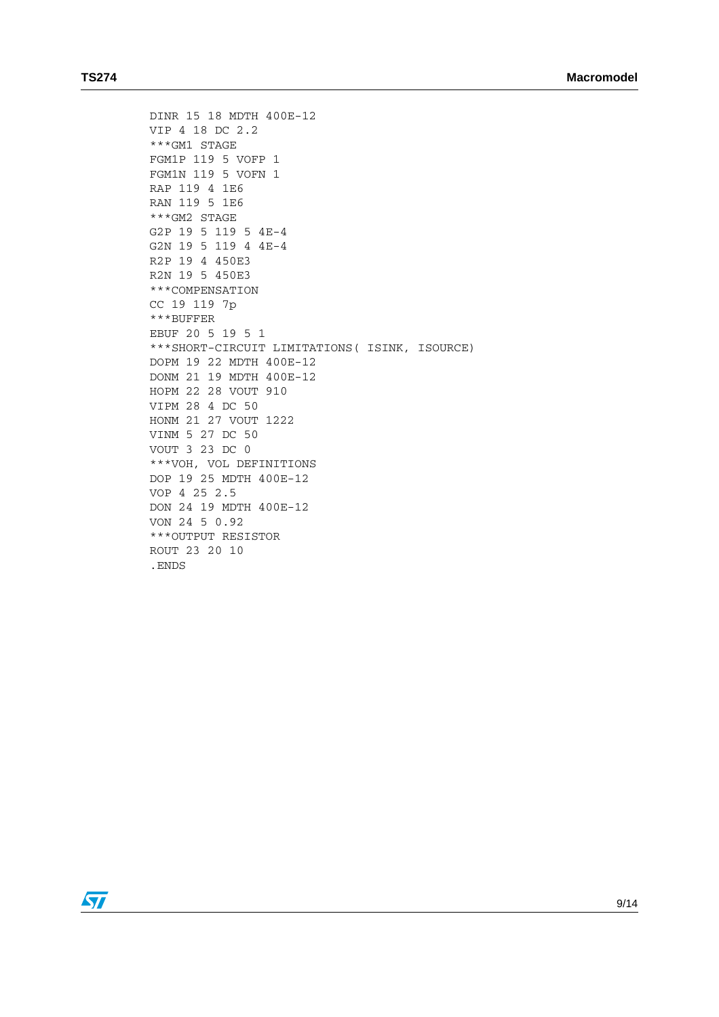```
DINR 15 18 MDTH 400E-12
VIP 4 18 DC 2.2
***GM1 STAGE
FGM1P 119 5 VOFP 1
FGM1N 119 5 VOFN 1
RAP 119 4 1E6
RAN 119 5 1E6
***GM2 STAGE
G2P 19 5 119 5 4E-4
G2N 19 5 119 4 4E-4
R2P 19 4 450E3
R2N 19 5 450E3
***COMPENSATION
CC 19 119 7p
***BUFFER
EBUF 20 5 19 5 1
***SHORT-CIRCUIT LIMITATIONS( ISINK, ISOURCE)
DOPM 19 22 MDTH 400E-12
DONM 21 19 MDTH 400E-12
HOPM 22 28 VOUT 910
VIPM 28 4 DC 50
HONM 21 27 VOUT 1222
VINM 5 27 DC 50
VOUT 3 23 DC 0
***VOH, VOL DEFINITIONS
DOP 19 25 MDTH 400E-12
VOP 4 25 2.5
DON 24 19 MDTH 400E-12
VON 24 5 0.92
***OUTPUT RESISTOR
ROUT 23 20 10
.ENDS
```
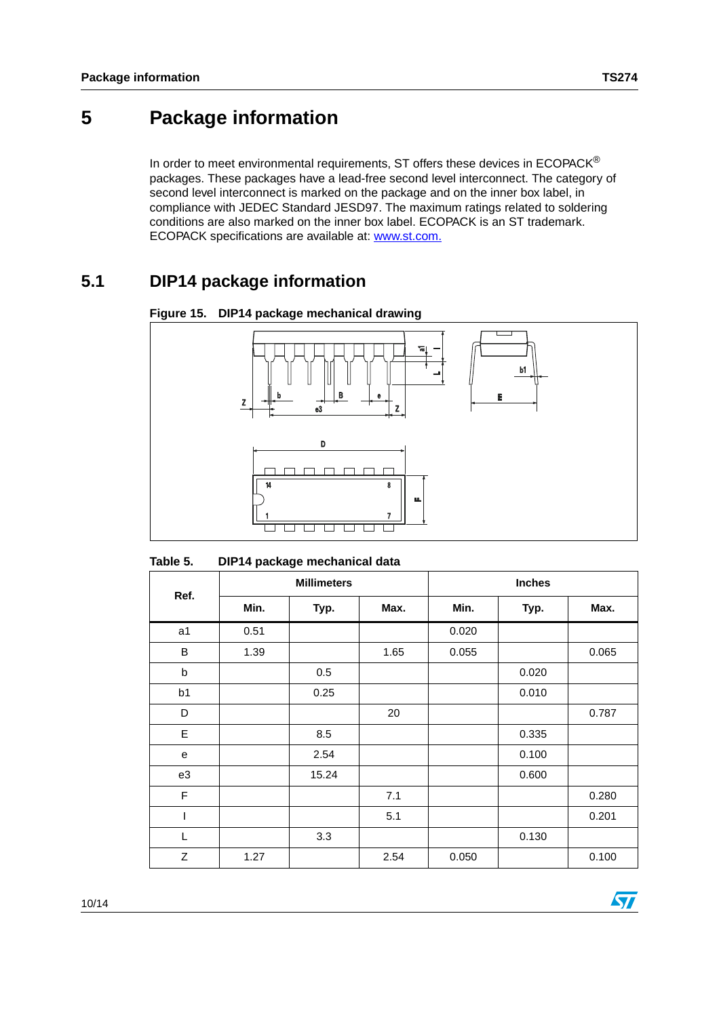## **5 Package information**

In order to meet environmental requirements, ST offers these devices in  $ECOPACK^{\circledcirc}$ packages. These packages have a lead-free second level interconnect. The category of second level interconnect is marked on the package and on the inner box label, in compliance with JEDEC Standard JESD97. The maximum ratings related to soldering conditions are also marked on the inner box label. ECOPACK is an ST trademark. ECOPACK specifications are available at: www.st.com.

## **5.1 DIP14 package information**



**Figure 15. DIP14 package mechanical drawing**

| DIP14 package mechanical data<br>Table 5. |  |
|-------------------------------------------|--|
|-------------------------------------------|--|

|             | <b>Millimeters</b> |       |      | <b>Inches</b> |       |       |
|-------------|--------------------|-------|------|---------------|-------|-------|
| Ref.        | Min.               | Typ.  | Max. | Min.          | Typ.  | Max.  |
| a1          | 0.51               |       |      | 0.020         |       |       |
| B           | 1.39               |       | 1.65 | 0.055         |       | 0.065 |
| b           |                    | 0.5   |      |               | 0.020 |       |
| b1          |                    | 0.25  |      |               | 0.010 |       |
| D           |                    |       | 20   |               |       | 0.787 |
| E           |                    | 8.5   |      |               | 0.335 |       |
| e           |                    | 2.54  |      |               | 0.100 |       |
| e3          |                    | 15.24 |      |               | 0.600 |       |
| $\mathsf F$ |                    |       | 7.1  |               |       | 0.280 |
| I           |                    |       | 5.1  |               |       | 0.201 |
| L           |                    | 3.3   |      |               | 0.130 |       |
| Z           | 1.27               |       | 2.54 | 0.050         |       | 0.100 |

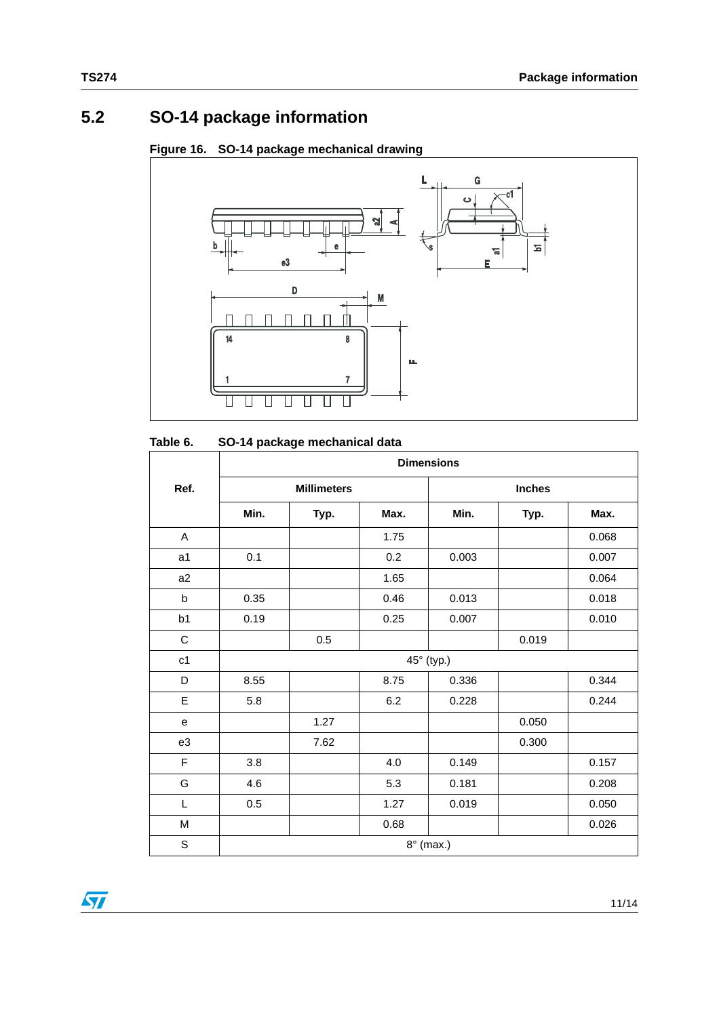## **5.2 SO-14 package information**

#### **Figure 16. SO-14 package mechanical drawing**



| Table 6. | SO-14 package mechanical data |
|----------|-------------------------------|
|----------|-------------------------------|

|             | <b>Dimensions</b> |                    |      |               |       |       |  |  |
|-------------|-------------------|--------------------|------|---------------|-------|-------|--|--|
| Ref.        |                   | <b>Millimeters</b> |      | <b>Inches</b> |       |       |  |  |
|             | Min.              | Typ.               | Max. | Min.          | Typ.  | Max.  |  |  |
| A           |                   |                    | 1.75 |               |       | 0.068 |  |  |
| a1          | 0.1               |                    | 0.2  | 0.003         |       | 0.007 |  |  |
| a2          |                   |                    | 1.65 |               |       | 0.064 |  |  |
| $\sf b$     | 0.35              |                    | 0.46 | 0.013         |       | 0.018 |  |  |
| b1          | 0.19              |                    | 0.25 | 0.007         |       | 0.010 |  |  |
| $\mathsf C$ |                   | 0.5                |      |               | 0.019 |       |  |  |
| c1          |                   |                    |      | 45° (typ.)    |       |       |  |  |
| D           | 8.55              |                    | 8.75 | 0.336         |       | 0.344 |  |  |
| E           | 5.8               |                    | 6.2  | 0.228         |       | 0.244 |  |  |
| e           |                   | 1.27               |      |               | 0.050 |       |  |  |
| e3          |                   | 7.62               |      |               | 0.300 |       |  |  |
| F           | 3.8               |                    | 4.0  | 0.149         |       | 0.157 |  |  |
| G           | 4.6               |                    | 5.3  | 0.181         |       | 0.208 |  |  |
| Г           | 0.5               |                    | 1.27 | 0.019         |       | 0.050 |  |  |
| M           |                   |                    | 0.68 |               |       | 0.026 |  |  |
| $\mathsf S$ | $8^\circ$ (max.)  |                    |      |               |       |       |  |  |

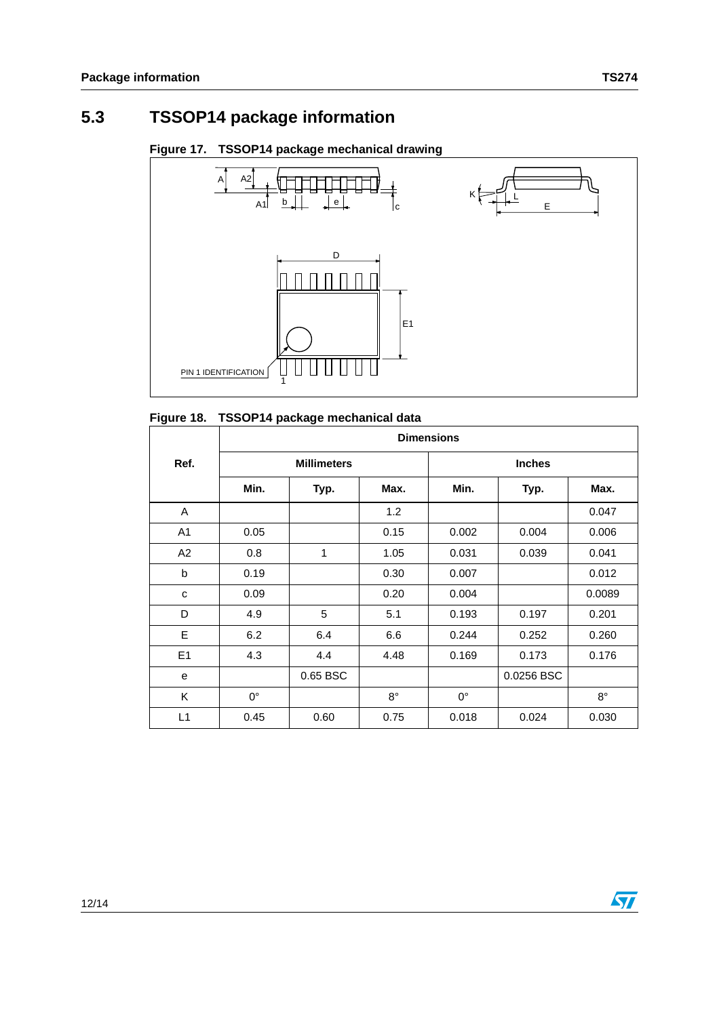



#### **Figure 18. TSSOP14 package mechanical data**

|      | <b>Dimensions</b>  |          |             |               |            |             |  |  |  |
|------|--------------------|----------|-------------|---------------|------------|-------------|--|--|--|
| Ref. | <b>Millimeters</b> |          |             | <b>Inches</b> |            |             |  |  |  |
|      | Min.               | Typ.     | Max.        | Min.          | Typ.       | Max.        |  |  |  |
| A    |                    |          | 1.2         |               |            | 0.047       |  |  |  |
| A1   | 0.05               |          | 0.15        | 0.002         | 0.004      | 0.006       |  |  |  |
| A2   | 0.8                | 1        | 1.05        | 0.031         | 0.039      | 0.041       |  |  |  |
| b    | 0.19               |          | 0.30        | 0.007         |            | 0.012       |  |  |  |
| c    | 0.09               |          | 0.20        | 0.004         |            | 0.0089      |  |  |  |
| D    | 4.9                | 5        | 5.1         | 0.193         | 0.197      | 0.201       |  |  |  |
| E    | 6.2                | 6.4      | 6.6         | 0.244         | 0.252      | 0.260       |  |  |  |
| E1   | 4.3                | 4.4      | 4.48        | 0.169         | 0.173      | 0.176       |  |  |  |
| e    |                    | 0.65 BSC |             |               | 0.0256 BSC |             |  |  |  |
| K    | $0^{\circ}$        |          | $8^{\circ}$ | $0^{\circ}$   |            | $8^{\circ}$ |  |  |  |
| L1   | 0.45               | 0.60     | 0.75        | 0.018         | 0.024      | 0.030       |  |  |  |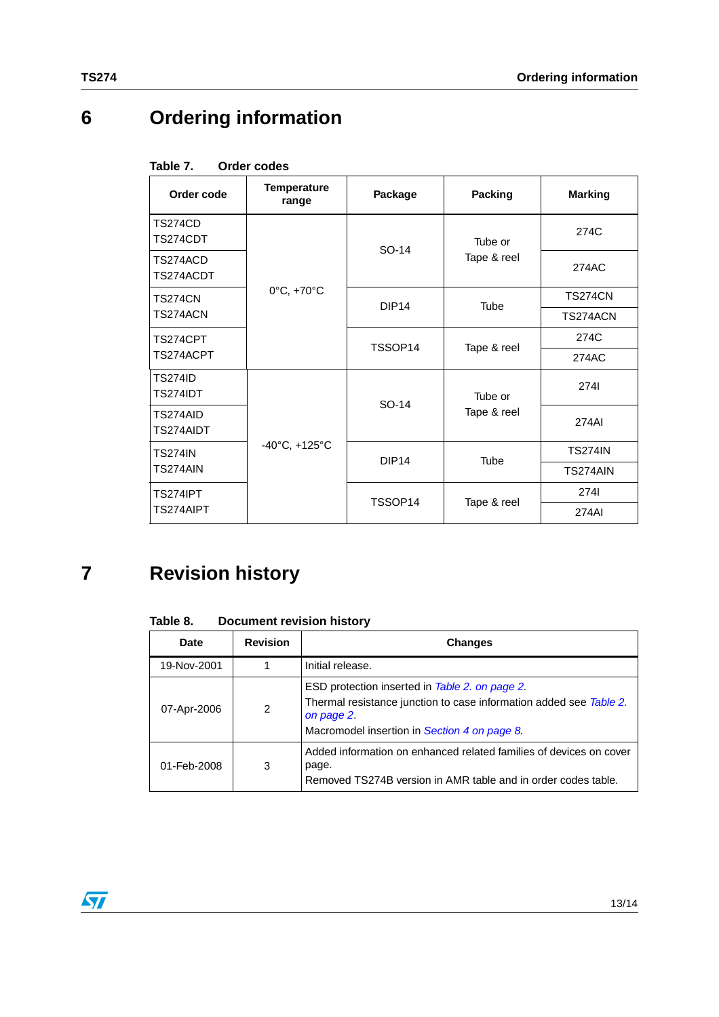## **6 Ordering information**

| Table 7. |  | <b>Order codes</b> |
|----------|--|--------------------|
|          |  |                    |

| Order code                 | <b>Temperature</b><br>range       | Package           | Packing     | <b>Marking</b> |
|----------------------------|-----------------------------------|-------------------|-------------|----------------|
| TS274CD<br>TS274CDT        |                                   | SO-14             | Tube or     | 274C           |
| TS274ACD<br>TS274ACDT      |                                   |                   | Tape & reel | 274AC          |
| TS274CN                    | 0°C, +70°C                        | DIP <sub>14</sub> | <b>Tube</b> | <b>TS274CN</b> |
| TS274ACN                   |                                   |                   |             | TS274ACN       |
| TS274CPT                   |                                   | TSSOP14           | Tape & reel | 274C           |
| TS274ACPT                  |                                   |                   |             | 274AC          |
| TS274ID<br><b>TS274IDT</b> |                                   | SO-14             | Tube or     | 2741           |
| TS274AID<br>TS274AIDT      |                                   |                   | Tape & reel | 274AI          |
| <b>TS274IN</b>             | $-40^{\circ}$ C, $+125^{\circ}$ C | DIP <sub>14</sub> | <b>Tube</b> | <b>TS274IN</b> |
| TS274AIN                   |                                   |                   |             | TS274AIN       |
| <b>TS274IPT</b>            |                                   | TSSOP14           | Tape & reel | 2741           |
| TS274AIPT                  |                                   |                   |             | 274AI          |

## **7 Revision history**

| Table 8. | <b>Document revision history</b> |  |  |
|----------|----------------------------------|--|--|
|----------|----------------------------------|--|--|

| Date        | <b>Revision</b> | <b>Changes</b>                                                                                                                                                                     |  |
|-------------|-----------------|------------------------------------------------------------------------------------------------------------------------------------------------------------------------------------|--|
| 19-Nov-2001 |                 | Initial release.                                                                                                                                                                   |  |
| 07-Apr-2006 | 2               | ESD protection inserted in Table 2. on page 2.<br>Thermal resistance junction to case information added see Table 2.<br>on page 2.<br>Macromodel insertion in Section 4 on page 8. |  |
| 01-Feb-2008 | 3               | Added information on enhanced related families of devices on cover<br>page.<br>Removed TS274B version in AMR table and in order codes table.                                       |  |